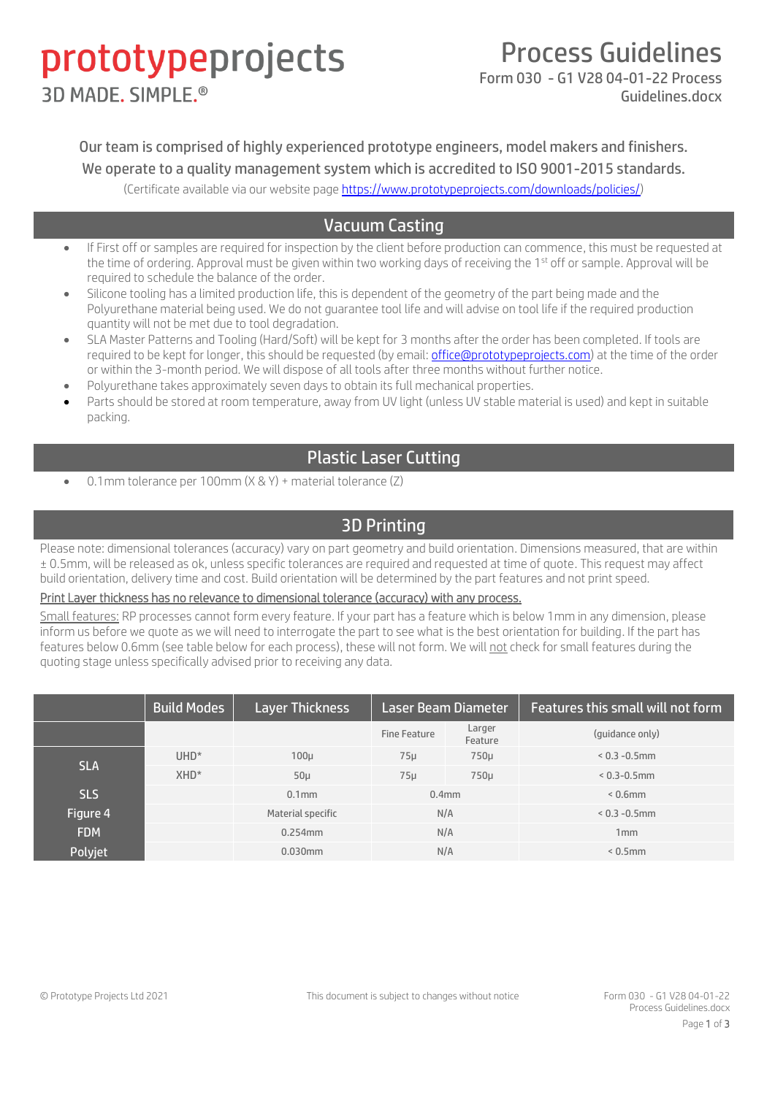# prototypeprojects **3D MADE, SIMPLE®**

### Process Guidelines

Form 030 - G1 V28 04-01-22 Process Guidelines.docx

Our team is comprised of highly experienced prototype engineers, model makers and finishers. We operate to a quality management system which is accredited to ISO 9001-2015 standards. (Certificate available via our website page [https://www.prototypeprojects.com/downloads/policies/\)](https://www.prototypeprojects.com/downloads/policies/)

### Vacuum Casting

- If First off or samples are required for inspection by the client before production can commence, this must be requested at the time of ordering. Approval must be given within two working days of receiving the 1<sup>st</sup> off or sample. Approval will be required to schedule the balance of the order.
- Silicone tooling has a limited production life, this is dependent of the geometry of the part being made and the Polyurethane material being used. We do not guarantee tool life and will advise on tool life if the required production quantity will not be met due to tool degradation.
- SLA Master Patterns and Tooling (Hard/Soft) will be kept for 3 months after the order has been completed. If tools are required to be kept for longer, this should be requested (by email[: office@prototypeprojects.com\)](mailto:office@prototypeprojects.com) at the time of the order or within the 3-month period. We will dispose of all tools after three months without further notice.
- Polyurethane takes approximately seven days to obtain its full mechanical properties.
- Parts should be stored at room temperature, away from UV light (unless UV stable material is used) and kept in suitable packing.

#### Plastic Laser Cutting

• 0.1mm tolerance per 100mm (X & Y) + material tolerance (Z)

### 3D Printing

Please note: dimensional tolerances (accuracy) vary on part geometry and build orientation. Dimensions measured, that are within ± 0.5mm, will be released as ok, unless specific tolerances are required and requested at time of quote. This request may affect build orientation, delivery time and cost. Build orientation will be determined by the part features and not print speed.

#### Print Layer thickness has no relevance to dimensional tolerance (accuracy) with any process.

Small features: RP processes cannot form every feature. If your part has a feature which is below 1mm in any dimension, please inform us before we quote as we will need to interrogate the part to see what is the best orientation for building. If the part has features below 0.6mm (see table below for each process), these will not form. We will not check for small features during the quoting stage unless specifically advised prior to receiving any data.

|            | <b>Build Modes</b> | <b>Layer Thickness</b> | <b>Laser Beam Diameter</b> |                   | Features this small will not form |
|------------|--------------------|------------------------|----------------------------|-------------------|-----------------------------------|
|            |                    |                        | Fine Feature               | Larger<br>Feature | (quidance only)                   |
| <b>SLA</b> | $UHD*$             | 100 <sub>µ</sub>       | 75 <sub>µ</sub>            | $750\mu$          | $< 0.3 - 0.5$ mm                  |
|            | XHD <sup>*</sup>   | $50\mu$                | 75 <sub>µ</sub>            | 750µ              | $< 0.3 - 0.5$ mm                  |
| <b>SLS</b> |                    | $0.1$ mm               | 0.4 <sub>mm</sub>          |                   | $< 0.6$ mm                        |
| Figure 4   |                    | Material specific      | N/A                        |                   | $< 0.3 - 0.5$ mm                  |
| <b>FDM</b> |                    | 0.254mm                | N/A                        |                   | 1mm                               |
| Polyjet    |                    | 0.030mm                | N/A                        |                   | $< 0.5$ mm                        |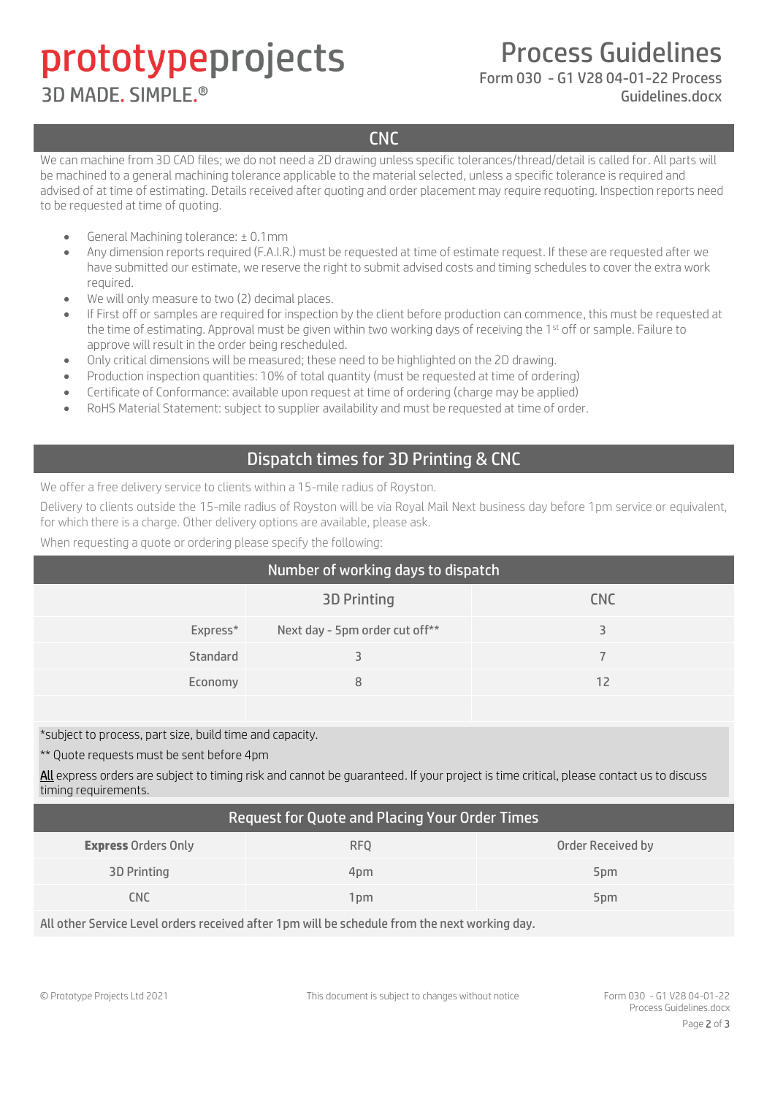## prototypeprojects **3D MADE, SIMPLE®**

Process Guidelines

### Form 030 - G1 V28 04-01-22 Process

Guidelines.docx

**CNC** 

We can machine from 3D CAD files; we do not need a 2D drawing unless specific tolerances/thread/detail is called for. All parts will be machined to a general machining tolerance applicable to the material selected, unless a specific tolerance is required and advised of at time of estimating. Details received after quoting and order placement may require requoting. Inspection reports need to be requested at time of quoting.

- General Machining tolerance: ± 0.1mm
- Any dimension reports required (F.A.I.R.) must be requested at time of estimate request. If these are requested after we have submitted our estimate, we reserve the right to submit advised costs and timing schedules to cover the extra work required.
- We will only measure to two (2) decimal places.
- If First off or samples are required for inspection by the client before production can commence, this must be requested at the time of estimating. Approval must be given within two working days of receiving the 1st off or sample. Failure to approve will result in the order being rescheduled.
- Only critical dimensions will be measured; these need to be highlighted on the 2D drawing.
- Production inspection quantities: 10% of total quantity (must be requested at time of ordering)
- Certificate of Conformance: available upon request at time of ordering (charge may be applied)
- RoHS Material Statement: subject to supplier availability and must be requested at time of order.

#### Dispatch times for 3D Printing & CNC

We offer a free delivery service to clients within a 15-mile radius of Royston.

Delivery to clients outside the 15-mile radius of Royston will be via Royal Mail Next business day before 1pm service or equivalent, for which there is a charge. Other delivery options are available, please ask.

When requesting a quote or ordering please specify the following:

| Number of working days to dispatch |                                |            |  |  |
|------------------------------------|--------------------------------|------------|--|--|
|                                    | <b>3D Printing</b>             | <b>CNC</b> |  |  |
| Express*                           | Next day - 5pm order cut off** |            |  |  |
| Standard                           |                                |            |  |  |
| Economy                            | 8                              | 12         |  |  |

\*subject to process, part size, build time and capacity.

\*\* Quote requests must be sent before 4pm

All express orders are subject to timing risk and cannot be guaranteed. If your project is time critical, please contact us to discuss timing requirements.

#### Request for Quote and Placing Your Order Times

| <b>Express Orders Only</b> | <b>RFO</b>       | Order Received by |
|----------------------------|------------------|-------------------|
| <b>3D Printing</b>         | 4 <sub>D</sub> m | 5 <sub>pm</sub>   |
| CNC                        | 1pm              | 5 <sub>pm</sub>   |

All other Service Level orders received after 1pm will be schedule from the next working day.